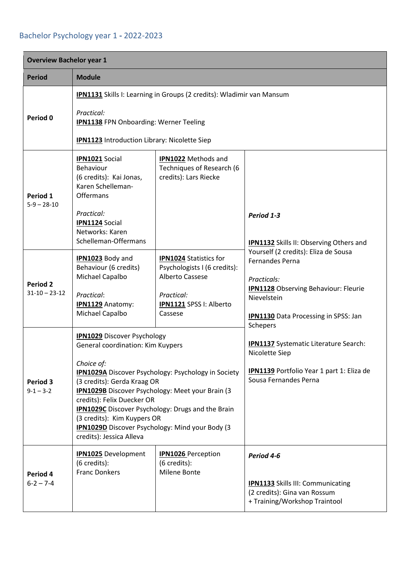## Bachelor Psychology year 1 **-** 2022-2023

| <b>Overview Bachelor year 1</b>        |                                                                                                                                                                                                                                                                                                                                                                                                                                                       |                                                                                                                                      |                                                                                                                                                                                            |  |
|----------------------------------------|-------------------------------------------------------------------------------------------------------------------------------------------------------------------------------------------------------------------------------------------------------------------------------------------------------------------------------------------------------------------------------------------------------------------------------------------------------|--------------------------------------------------------------------------------------------------------------------------------------|--------------------------------------------------------------------------------------------------------------------------------------------------------------------------------------------|--|
| <b>Period</b>                          | <b>Module</b>                                                                                                                                                                                                                                                                                                                                                                                                                                         |                                                                                                                                      |                                                                                                                                                                                            |  |
| Period 0                               | <b>IPN1131</b> Skills I: Learning in Groups (2 credits): Wladimir van Mansum<br>Practical:<br><b>IPN1138</b> FPN Onboarding: Werner Teeling<br>IPN1123 Introduction Library: Nicolette Siep                                                                                                                                                                                                                                                           |                                                                                                                                      |                                                                                                                                                                                            |  |
| Period 1<br>$5-9 - 28-10$              | <b>IPN1021</b> Social<br>Behaviour<br>(6 credits): Kai Jonas,<br>Karen Schelleman-<br>Offermans<br>Practical:<br><b>IPN1124</b> Social                                                                                                                                                                                                                                                                                                                | <b>IPN1022</b> Methods and<br>Techniques of Research (6<br>credits): Lars Riecke                                                     | Period 1-3                                                                                                                                                                                 |  |
|                                        | Networks: Karen<br>Schelleman-Offermans                                                                                                                                                                                                                                                                                                                                                                                                               |                                                                                                                                      | <b>IPN1132</b> Skills II: Observing Others and                                                                                                                                             |  |
| <b>Period 2</b><br>$31 - 10 - 23 - 12$ | <b>IPN1023</b> Body and<br>Behaviour (6 credits)<br>Michael Capalbo<br>Practical:<br><b>IPN1129</b> Anatomy:<br>Michael Capalbo                                                                                                                                                                                                                                                                                                                       | <b>IPN1024 Statistics for</b><br>Psychologists I (6 credits):<br>Alberto Cassese<br>Practical:<br>IPN1121 SPSS I: Alberto<br>Cassese | Yourself (2 credits): Eliza de Sousa<br><b>Fernandes Perna</b><br>Practicals:<br><b>IPN1128</b> Observing Behaviour: Fleurie<br>Nievelstein<br><b>IPN1130</b> Data Processing in SPSS: Jan |  |
| Period 3<br>$9 - 1 - 3 - 2$            | <b>IPN1029</b> Discover Psychology<br>General coordination: Kim Kuypers<br>Choice of:<br><b>IPN1029A</b> Discover Psychology: Psychology in Society<br>(3 credits): Gerda Kraag OR<br><b>IPN1029B</b> Discover Psychology: Meet your Brain (3<br>credits): Felix Duecker OR<br>IPN1029C Discover Psychology: Drugs and the Brain<br>(3 credits): Kim Kuypers OR<br><b>IPN1029D</b> Discover Psychology: Mind your Body (3<br>credits): Jessica Alleva |                                                                                                                                      | Schepers<br><b>IPN1137</b> Systematic Literature Search:<br>Nicolette Siep<br>IPN1139 Portfolio Year 1 part 1: Eliza de<br>Sousa Fernandes Perna                                           |  |
| Period 4<br>$6 - 2 - 7 - 4$            | <b>IPN1025</b> Development<br>(6 credits):<br><b>Franc Donkers</b>                                                                                                                                                                                                                                                                                                                                                                                    | <b>IPN1026</b> Perception<br>(6 credits):<br>Milene Bonte                                                                            | Period 4-6<br><b>IPN1133</b> Skills III: Communicating<br>(2 credits): Gina van Rossum<br>+ Training/Workshop Traintool                                                                    |  |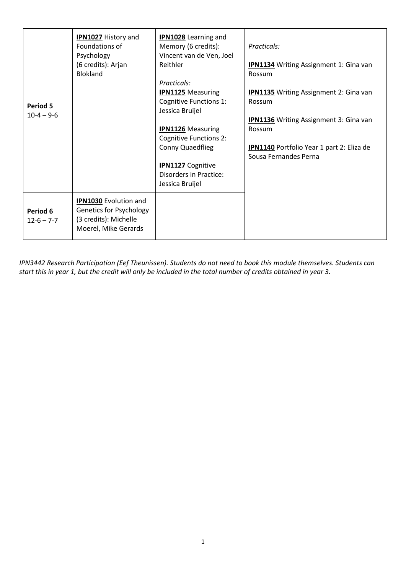| Period 5<br>$10-4 - 9-6$     | <b>IPN1027 History and</b><br>Foundations of<br>Psychology<br>(6 credits): Arjan<br><b>Blokland</b>             | <b>IPN1028</b> Learning and<br>Memory (6 credits):<br>Vincent van de Ven, Joel<br>Reithler<br>Practicals:<br><b>IPN1125</b> Measuring<br><b>Cognitive Functions 1:</b><br>Jessica Bruijel<br><b>IPN1126</b> Measuring<br><b>Cognitive Functions 2:</b><br>Conny Quaedflieg<br><b>IPN1127</b> Cognitive<br>Disorders in Practice:<br>Jessica Bruijel | Practicals:<br><b>IPN1134</b> Writing Assignment 1: Gina van<br>Rossum<br><b>IPN1135</b> Writing Assignment 2: Gina van<br>Rossum<br><b>IPN1136</b> Writing Assignment 3: Gina van<br>Rossum<br><b>IPN1140</b> Portfolio Year 1 part 2: Eliza de<br>Sousa Fernandes Perna |
|------------------------------|-----------------------------------------------------------------------------------------------------------------|-----------------------------------------------------------------------------------------------------------------------------------------------------------------------------------------------------------------------------------------------------------------------------------------------------------------------------------------------------|---------------------------------------------------------------------------------------------------------------------------------------------------------------------------------------------------------------------------------------------------------------------------|
| Period 6<br>$12 - 6 - 7 - 7$ | <b>IPN1030</b> Evolution and<br><b>Genetics for Psychology</b><br>(3 credits): Michelle<br>Moerel, Mike Gerards |                                                                                                                                                                                                                                                                                                                                                     |                                                                                                                                                                                                                                                                           |

*IPN3442 Research Participation (Eef Theunissen). Students do not need to book this module themselves. Students can start this in year 1, but the credit will only be included in the total number of credits obtained in year 3.*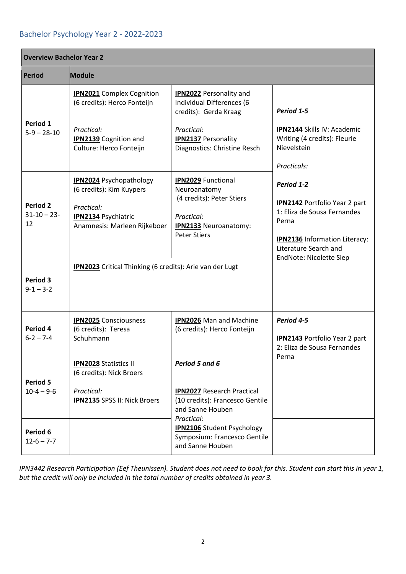## Bachelor Psychology Year 2 - 2022-2023

| <b>Overview Bachelor Year 2</b>  |                                                                               |                                                                                                        |                                                                                                                                                                   |  |  |
|----------------------------------|-------------------------------------------------------------------------------|--------------------------------------------------------------------------------------------------------|-------------------------------------------------------------------------------------------------------------------------------------------------------------------|--|--|
| <b>Period</b>                    | <b>Module</b>                                                                 |                                                                                                        |                                                                                                                                                                   |  |  |
| Period 1<br>$5-9 - 28-10$        | <b>IPN2021</b> Complex Cognition<br>(6 credits): Herco Fonteijn<br>Practical: | <b>IPN2022</b> Personality and<br>Individual Differences (6<br>credits): Gerda Kraag<br>Practical:     | Period 1-5<br>IPN2144 Skills IV: Academic                                                                                                                         |  |  |
|                                  | <b>IPN2139</b> Cognition and<br>Culture: Herco Fonteijn                       | <b>IPN2137</b> Personality<br>Diagnostics: Christine Resch                                             | Writing (4 credits): Fleurie<br>Nievelstein<br>Practicals:                                                                                                        |  |  |
|                                  | <b>IPN2024</b> Psychopathology<br>(6 credits): Kim Kuypers                    | <b>IPN2029</b> Functional<br>Neuroanatomy<br>(4 credits): Peter Stiers                                 | Period 1-2                                                                                                                                                        |  |  |
| Period 2<br>$31 - 10 - 23$<br>12 | Practical:<br><b>IPN2134 Psychiatric</b><br>Anamnesis: Marleen Rijkeboer      | Practical:<br><b>IPN2133</b> Neuroanatomy:<br><b>Peter Stiers</b>                                      | <b>IPN2142</b> Portfolio Year 2 part<br>1: Eliza de Sousa Fernandes<br>Perna<br>IPN2136 Information Literacy:<br>Literature Search and<br>EndNote: Nicolette Siep |  |  |
| Period 3<br>$9 - 1 - 3 - 2$      | <b>IPN2023</b> Critical Thinking (6 credits): Arie van der Lugt               |                                                                                                        |                                                                                                                                                                   |  |  |
| Period 4<br>$6 - 2 - 7 - 4$      | <b>IPN2025</b> Consciousness<br>(6 credits): Teresa<br>Schuhmann              | <b>IPN2026</b> Man and Machine<br>(6 credits): Herco Fonteijn                                          | Period 4-5<br><b>IPN2143</b> Portfolio Year 2 part<br>2: Eliza de Sousa Fernandes                                                                                 |  |  |
| <b>Period 5</b>                  | <b>IPN2028 Statistics II</b><br>(6 credits): Nick Broers                      | Period 5 and 6                                                                                         | Perna                                                                                                                                                             |  |  |
| $10-4 - 9-6$                     | Practical:<br><b>IPN2135 SPSS II: Nick Broers</b>                             | <b>IPN2027 Research Practical</b><br>(10 credits): Francesco Gentile<br>and Sanne Houben<br>Practical: |                                                                                                                                                                   |  |  |
| Period 6<br>$12 - 6 - 7 - 7$     |                                                                               | <b>IPN2106</b> Student Psychology<br>Symposium: Francesco Gentile<br>and Sanne Houben                  |                                                                                                                                                                   |  |  |

*IPN3442 Research Participation (Eef Theunissen). Student does not need to book for this. Student can start this in year 1, but the credit will only be included in the total number of credits obtained in year 3.*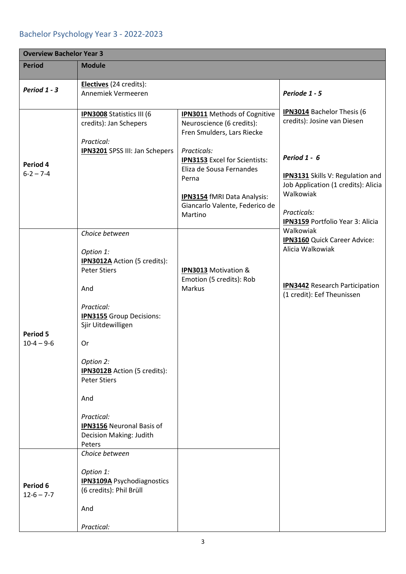## Bachelor Psychology Year 3 - 2022-2023

| <b>Overview Bachelor Year 3</b> |                                                                                                                                                                                                                                                                                                                                                 |                                                                                                                                                                                                                                                                               |                                                                                                                                                                                                                                    |  |
|---------------------------------|-------------------------------------------------------------------------------------------------------------------------------------------------------------------------------------------------------------------------------------------------------------------------------------------------------------------------------------------------|-------------------------------------------------------------------------------------------------------------------------------------------------------------------------------------------------------------------------------------------------------------------------------|------------------------------------------------------------------------------------------------------------------------------------------------------------------------------------------------------------------------------------|--|
| <b>Period</b>                   | <b>Module</b>                                                                                                                                                                                                                                                                                                                                   |                                                                                                                                                                                                                                                                               |                                                                                                                                                                                                                                    |  |
| Period 1 - 3                    | Electives (24 credits):<br>Annemiek Vermeeren                                                                                                                                                                                                                                                                                                   |                                                                                                                                                                                                                                                                               | Periode 1 - 5                                                                                                                                                                                                                      |  |
| Period 4<br>$6 - 2 - 7 - 4$     | <b>IPN3008</b> Statistics III (6<br>credits): Jan Schepers<br>Practical:<br><b>IPN3201</b> SPSS III: Jan Schepers                                                                                                                                                                                                                               | <b>IPN3011</b> Methods of Cognitive<br>Neuroscience (6 credits):<br>Fren Smulders, Lars Riecke<br>Practicals:<br><b>IPN3153</b> Excel for Scientists:<br>Eliza de Sousa Fernandes<br>Perna<br><b>IPN3154</b> fMRI Data Analysis:<br>Giancarlo Valente, Federico de<br>Martino | <b>IPN3014</b> Bachelor Thesis (6<br>credits): Josine van Diesen<br>Period 1 - 6<br><b>IPN3131</b> Skills V: Regulation and<br>Job Application (1 credits): Alicia<br>Walkowiak<br>Practicals:<br>IPN3159 Portfolio Year 3: Alicia |  |
| <b>Period 5</b><br>$10-4 - 9-6$ | Choice between<br>Option 1:<br><b>IPN3012A</b> Action (5 credits):<br><b>Peter Stiers</b><br>And<br>Practical:<br><b>IPN3155</b> Group Decisions:<br>Sjir Uitdewilligen<br>Or<br>Option 2:<br>IPN3012B Action (5 credits):<br><b>Peter Stiers</b><br>And<br>Practical:<br><b>IPN3156</b> Neuronal Basis of<br>Decision Making: Judith<br>Peters | <b>IPN3013</b> Motivation &<br>Emotion (5 credits): Rob<br>Markus                                                                                                                                                                                                             | Walkowiak<br>IPN3160 Quick Career Advice:<br>Alicia Walkowiak<br><b>IPN3442</b> Research Participation<br>(1 credit): Eef Theunissen                                                                                               |  |
| Period 6<br>$12 - 6 - 7 - 7$    | Choice between<br>Option 1:<br><b>IPN3109A</b> Psychodiagnostics<br>(6 credits): Phil Brüll<br>And<br>Practical:                                                                                                                                                                                                                                |                                                                                                                                                                                                                                                                               |                                                                                                                                                                                                                                    |  |